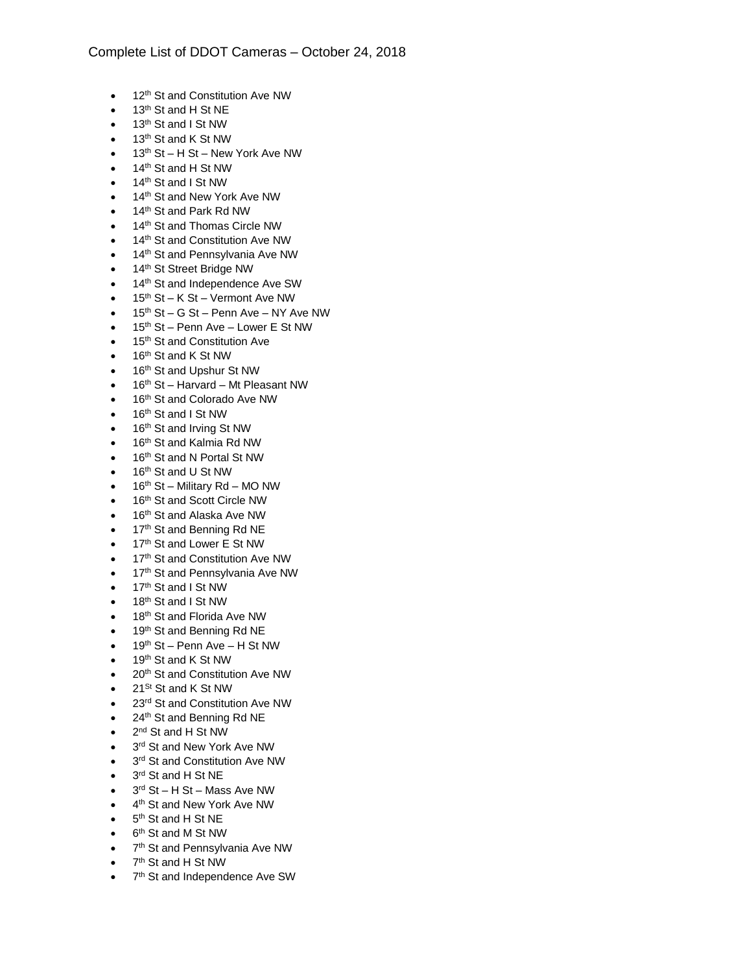- 12<sup>th</sup> St and Constitution Ave NW
- $\bullet$  13<sup>th</sup> St and H St NE
- $\bullet$  13<sup>th</sup> St and I St NW
- 13<sup>th</sup> St and K St NW
- $\bullet$  13<sup>th</sup> St H St New York Ave NW
- 14<sup>th</sup> St and H St NW
- 14<sup>th</sup> St and I St NW
- 14<sup>th</sup> St and New York Ave NW
- 14<sup>th</sup> St and Park Rd NW
- 14<sup>th</sup> St and Thomas Circle NW
- 14<sup>th</sup> St and Constitution Ave NW
- 14<sup>th</sup> St and Pennsylvania Ave NW
- 14<sup>th</sup> St Street Bridge NW
- 14<sup>th</sup> St and Independence Ave SW
- $\bullet$  15<sup>th</sup> St K St Vermont Ave NW
- $\bullet$  15<sup>th</sup> St G St Penn Ave NY Ave NW
- $\bullet$  15<sup>th</sup> St Penn Ave Lower E St NW
- 15<sup>th</sup> St and Constitution Ave
- $\bullet$  16<sup>th</sup> St and K St NW
- 16<sup>th</sup> St and Upshur St NW
- 16<sup>th</sup> St Harvard Mt Pleasant NW
- 16<sup>th</sup> St and Colorado Ave NW
- 16<sup>th</sup> St and I St NW
- 16<sup>th</sup> St and Irving St NW
- 16<sup>th</sup> St and Kalmia Rd NW
- 16<sup>th</sup> St and N Portal St NW
- 16<sup>th</sup> St and U St NW
- $\bullet$  16<sup>th</sup> St Military Rd MO NW
- 16<sup>th</sup> St and Scott Circle NW
- 16<sup>th</sup> St and Alaska Ave NW
- 17<sup>th</sup> St and Benning Rd NE
- 17<sup>th</sup> St and Lower E St NW
- 17<sup>th</sup> St and Constitution Ave NW
- 17<sup>th</sup> St and Pennsylvania Ave NW
- 17<sup>th</sup> St and I St NW
- 18<sup>th</sup> St and I St NW
- 18<sup>th</sup> St and Florida Ave NW
- 19<sup>th</sup> St and Benning Rd NE
- $\bullet$  19<sup>th</sup> St Penn Ave H St NW
- 19<sup>th</sup> St and K St NW
- 20<sup>th</sup> St and Constitution Ave NW
- $\bullet$  21<sup>St</sup> St and K St NW
- 23<sup>rd</sup> St and Constitution Ave NW
- 24<sup>th</sup> St and Benning Rd NE
- 2<sup>nd</sup> St and H St NW
- 3<sup>rd</sup> St and New York Ave NW
- 3<sup>rd</sup> St and Constitution Ave NW
- 3<sup>rd</sup> St and H St NE
- 3<sup>rd</sup> St H St Mass Ave NW
- 4<sup>th</sup> St and New York Ave NW
- 5<sup>th</sup> St and H St NE
- 6<sup>th</sup> St and M St NW
- 7<sup>th</sup> St and Pennsylvania Ave NW
- 7<sup>th</sup> St and H St NW
- 7<sup>th</sup> St and Independence Ave SW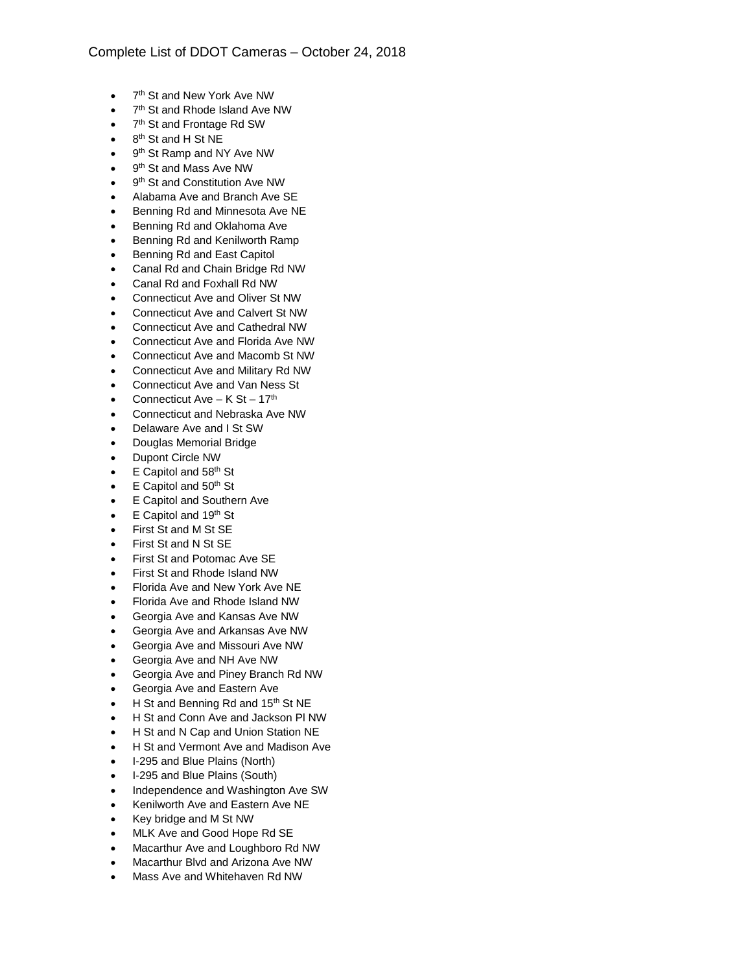- 7<sup>th</sup> St and New York Ave NW
- 7<sup>th</sup> St and Rhode Island Ave NW
- 7<sup>th</sup> St and Frontage Rd SW
- 8<sup>th</sup> St and H St NE
- 9<sup>th</sup> St Ramp and NY Ave NW
- 9<sup>th</sup> St and Mass Ave NW
- 9<sup>th</sup> St and Constitution Ave NW
- Alabama Ave and Branch Ave SE
- Benning Rd and Minnesota Ave NE
- Benning Rd and Oklahoma Ave
- Benning Rd and Kenilworth Ramp
- Benning Rd and East Capitol
- Canal Rd and Chain Bridge Rd NW
- Canal Rd and Foxhall Rd NW
- Connecticut Ave and Oliver St NW
- Connecticut Ave and Calvert St NW
- Connecticut Ave and Cathedral NW
- Connecticut Ave and Florida Ave NW
- Connecticut Ave and Macomb St NW
- Connecticut Ave and Military Rd NW
- Connecticut Ave and Van Ness St
- Connecticut Ave  $K St 17<sup>th</sup>$
- Connecticut and Nebraska Ave NW
- Delaware Ave and I St SW
- Douglas Memorial Bridge
- Dupont Circle NW
- E Capitol and 58<sup>th</sup> St
- E Capitol and 50<sup>th</sup> St
- E Capitol and Southern Ave
- E Capitol and 19th St
- First St and M St SE
- First St and N St SE
- First St and Potomac Ave SE
- First St and Rhode Island NW
- Florida Ave and New York Ave NE
- Florida Ave and Rhode Island NW
- Georgia Ave and Kansas Ave NW
- Georgia Ave and Arkansas Ave NW
- Georgia Ave and Missouri Ave NW
- Georgia Ave and NH Ave NW
- Georgia Ave and Piney Branch Rd NW
- Georgia Ave and Eastern Ave
- H St and Benning Rd and 15<sup>th</sup> St NE
- H St and Conn Ave and Jackson Pl NW
- H St and N Cap and Union Station NE
- H St and Vermont Ave and Madison Ave
- I-295 and Blue Plains (North)
- I-295 and Blue Plains (South)
- Independence and Washington Ave SW
- Kenilworth Ave and Eastern Ave NE
- Key bridge and M St NW
- MLK Ave and Good Hope Rd SE
- Macarthur Ave and Loughboro Rd NW
- Macarthur Blvd and Arizona Ave NW
- Mass Ave and Whitehaven Rd NW